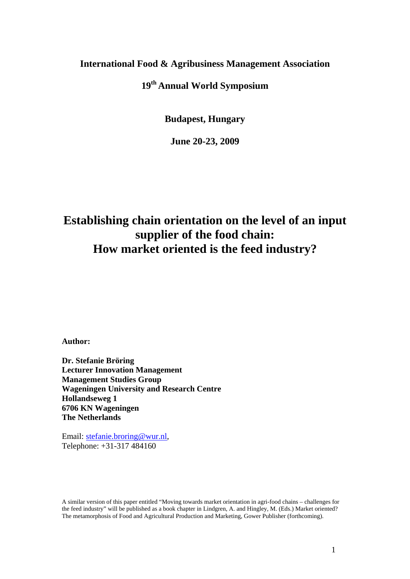#### **International Food & Agribusiness Management Association**

### **19th Annual World Symposium**

**Budapest, Hungary**

**June 20-23, 2009**

# **Establishing chain orientation on the level of an input supplier of the food chain: How market oriented is the feed industry?**

**Author:** 

**Dr. Stefanie Bröring Lecturer Innovation Management Management Studies Group Wageningen University and Research Centre Hollandseweg 1 6706 KN Wageningen The Netherlands**

Email: stefanie.broring@wur.nl, Telephone: +31-317 484160

A similar version of this paper entitled "Moving towards market orientation in agri-food chains – challenges for the feed industry" will be published as a book chapter in Lindgren, A. and Hingley, M. (Eds.) Market oriented? The metamorphosis of Food and Agricultural Production and Marketing, Gower Publisher (forthcoming).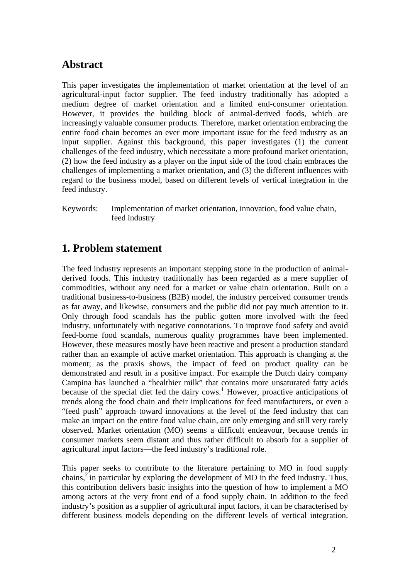### **Abstract**

This paper investigates the implementation of market orientation at the level of an agricultural-input factor supplier. The feed industry traditionally has adopted a medium degree of market orientation and a limited end-consumer orientation. However, it provides the building block of animal-derived foods, which are increasingly valuable consumer products. Therefore, market orientation embracing the entire food chain becomes an ever more important issue for the feed industry as an input supplier. Against this background, this paper investigates (1) the current challenges of the feed industry, which necessitate a more profound market orientation, (2) how the feed industry as a player on the input side of the food chain embraces the challenges of implementing a market orientation, and (3) the different influences with regard to the business model, based on different levels of vertical integration in the feed industry.

Keywords: Implementation of market orientation, innovation, food value chain, feed industry

### **1. Problem statement**

The feed industry represents an important stepping stone in the production of animalderived foods. This industry traditionally has been regarded as a mere supplier of commodities, without any need for a market or value chain orientation. Built on a traditional business-to-business (B2B) model, the industry perceived consumer trends as far away, and likewise, consumers and the public did not pay much attention to it. Only through food scandals has the public gotten more involved with the feed industry, unfortunately with negative connotations. To improve food safety and avoid feed-borne food scandals, numerous quality programmes have been implemented. However, these measures mostly have been reactive and present a production standard rather than an example of active market orientation. This approach is changing at the moment; as the praxis shows, the impact of feed on product quality can be demonstrated and result in a positive impact. For example the Dutch dairy company Campina has launched a "healthier milk" that contains more unsaturated fatty acids because of the special diet fed the dairy cows.<sup>1</sup> However, proactive anticipations of trends along the food chain and their implications for feed manufacturers, or even a "feed push" approach toward innovations at the level of the feed industry that can make an impact on the entire food value chain, are only emerging and still very rarely observed. Market orientation (MO) seems a difficult endeavour, because trends in consumer markets seem distant and thus rather difficult to absorb for a supplier of agricultural input factors—the feed industry's traditional role.

This paper seeks to contribute to the literature pertaining to MO in food supply chains,<sup>2</sup> in particular by exploring the development of MO in the feed industry. Thus, this contribution delivers basic insights into the question of how to implement a MO among actors at the very front end of a food supply chain. In addition to the feed industry's position as a supplier of agricultural input factors, it can be characterised by different business models depending on the different levels of vertical integration.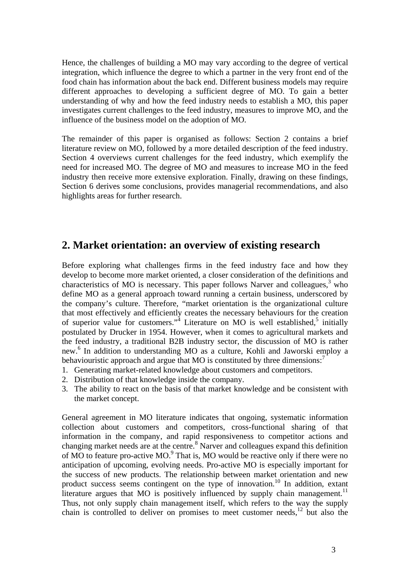Hence, the challenges of building a MO may vary according to the degree of vertical integration, which influence the degree to which a partner in the very front end of the food chain has information about the back end. Different business models may require different approaches to developing a sufficient degree of MO. To gain a better understanding of why and how the feed industry needs to establish a MO, this paper investigates current challenges to the feed industry, measures to improve MO, and the influence of the business model on the adoption of MO.

The remainder of this paper is organised as follows: Section 2 contains a brief literature review on MO, followed by a more detailed description of the feed industry. Section 4 overviews current challenges for the feed industry, which exemplify the need for increased MO. The degree of MO and measures to increase MO in the feed industry then receive more extensive exploration. Finally, drawing on these findings, Section 6 derives some conclusions, provides managerial recommendations, and also highlights areas for further research.

### **2. Market orientation: an overview of existing research**

Before exploring what challenges firms in the feed industry face and how they develop to become more market oriented, a closer consideration of the definitions and characteristics of MO is necessary. This paper follows Narver and colleagues,  $3$  who define MO as a general approach toward running a certain business, underscored by the company's culture. Therefore, "market orientation is the organizational culture that most effectively and efficiently creates the necessary behaviours for the creation of superior value for customers." Literature on MO is well established,<sup>5</sup> initially postulated by Drucker in 1954. However, when it comes to agricultural markets and the feed industry, a traditional B2B industry sector, the discussion of MO is rather new.<sup>6</sup> In addition to understanding MO as a culture, Kohli and Jaworski employ a behaviouristic approach and argue that MO is constituted by three dimensions:<sup>7</sup>

- 1. Generating market-related knowledge about customers and competitors.
- 2. Distribution of that knowledge inside the company.
- 3. The ability to react on the basis of that market knowledge and be consistent with the market concept.

General agreement in MO literature indicates that ongoing, systematic information collection about customers and competitors, cross-functional sharing of that information in the company, and rapid responsiveness to competitor actions and changing market needs are at the centre.<sup>8</sup> Narver and colleagues expand this definition of MO to feature pro-active MO. 9 That is, MO would be reactive only if there were no anticipation of upcoming, evolving needs. Pro-active MO is especially important for the success of new products. The relationship between market orientation and new product success seems contingent on the type of innovation.<sup>10</sup> In addition, extant literature argues that MO is positively influenced by supply chain management.<sup>11</sup> Thus, not only supply chain management itself, which refers to the way the supply chain is controlled to deliver on promises to meet customer needs,<sup>12</sup> but also the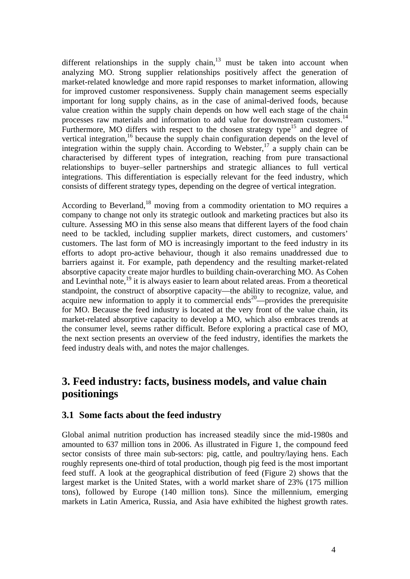different relationships in the supply chain, $13$  must be taken into account when analyzing MO. Strong supplier relationships positively affect the generation of market-related knowledge and more rapid responses to market information, allowing for improved customer responsiveness. Supply chain management seems especially important for long supply chains, as in the case of animal-derived foods, because value creation within the supply chain depends on how well each stage of the chain processes raw materials and information to add value for downstream customers.<sup>14</sup> Furthermore, MO differs with respect to the chosen strategy type<sup>15</sup> and degree of vertical integration,<sup>16</sup> because the supply chain configuration depends on the level of integration within the supply chain. According to Webster,<sup>17</sup> a supply chain can be characterised by different types of integration, reaching from pure transactional relationships to buyer–seller partnerships and strategic alliances to full vertical integrations. This differentiation is especially relevant for the feed industry, which consists of different strategy types, depending on the degree of vertical integration.

According to Beverland,<sup>18</sup> moving from a commodity orientation to MO requires a company to change not only its strategic outlook and marketing practices but also its culture. Assessing MO in this sense also means that different layers of the food chain need to be tackled, including supplier markets, direct customers, and customers' customers. The last form of MO is increasingly important to the feed industry in its efforts to adopt pro-active behaviour, though it also remains unaddressed due to barriers against it. For example, path dependency and the resulting market-related absorptive capacity create major hurdles to building chain-overarching MO. As Cohen and Levinthal note,<sup>19</sup> it is always easier to learn about related areas. From a theoretical standpoint, the construct of absorptive capacity—the ability to recognize, value, and acquire new information to apply it to commercial ends<sup>20</sup>—provides the prerequisite for MO. Because the feed industry is located at the very front of the value chain, its market-related absorptive capacity to develop a MO, which also embraces trends at the consumer level, seems rather difficult. Before exploring a practical case of MO, the next section presents an overview of the feed industry, identifies the markets the feed industry deals with, and notes the major challenges.

### **3. Feed industry: facts, business models, and value chain positionings**

#### **3.1 Some facts about the feed industry**

Global animal nutrition production has increased steadily since the mid-1980s and amounted to 637 million tons in 2006. As illustrated in Figure 1, the compound feed sector consists of three main sub-sectors: pig, cattle, and poultry/laying hens. Each roughly represents one-third of total production, though pig feed is the most important feed stuff. A look at the geographical distribution of feed (Figure 2) shows that the largest market is the United States, with a world market share of 23% (175 million tons), followed by Europe (140 million tons). Since the millennium, emerging markets in Latin America, Russia, and Asia have exhibited the highest growth rates.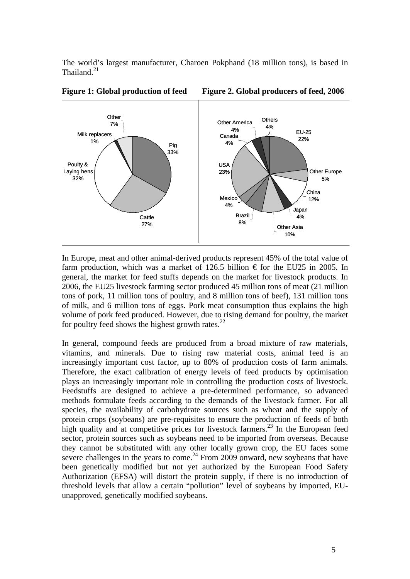The world's largest manufacturer, Charoen Pokphand (18 million tons), is based in Thailand.<sup>21</sup>



**Figure 1: Global production of feed Figure 2. Global producers of feed, 2006**

In Europe, meat and other animal-derived products represent 45% of the total value of farm production, which was a market of 126.5 billion  $\epsilon$  for the EU25 in 2005. In general, the market for feed stuffs depends on the market for livestock products. In 2006, the EU25 livestock farming sector produced 45 million tons of meat (21 million tons of pork, 11 million tons of poultry, and 8 million tons of beef), 131 million tons of milk, and 6 million tons of eggs. Pork meat consumption thus explains the high volume of pork feed produced. However, due to rising demand for poultry, the market for poultry feed shows the highest growth rates. $^{22}$ 

In general, compound feeds are produced from a broad mixture of raw materials, vitamins, and minerals. Due to rising raw material costs, animal feed is an increasingly important cost factor, up to 80% of production costs of farm animals. Therefore, the exact calibration of energy levels of feed products by optimisation plays an increasingly important role in controlling the production costs of livestock. Feedstuffs are designed to achieve a pre-determined performance, so advanced methods formulate feeds according to the demands of the livestock farmer. For all species, the availability of carbohydrate sources such as wheat and the supply of protein crops (soybeans) are pre-requisites to ensure the production of feeds of both high quality and at competitive prices for livestock farmers.<sup>23</sup> In the European feed sector, protein sources such as soybeans need to be imported from overseas. Because they cannot be substituted with any other locally grown crop, the EU faces some severe challenges in the years to come.<sup>24</sup> From 2009 onward, new soybeans that have been genetically modified but not yet authorized by the European Food Safety Authorization (EFSA) will distort the protein supply, if there is no introduction of threshold levels that allow a certain "pollution" level of soybeans by imported, EUunapproved, genetically modified soybeans.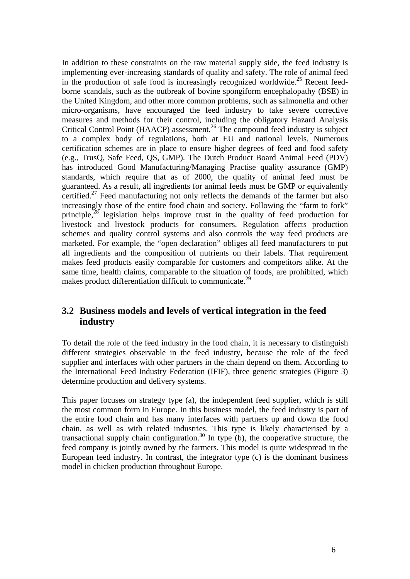In addition to these constraints on the raw material supply side, the feed industry is implementing ever-increasing standards of quality and safety. The role of animal feed in the production of safe food is increasingly recognized worldwide.<sup>25</sup> Recent feedborne scandals, such as the outbreak of bovine spongiform encephalopathy (BSE) in the United Kingdom, and other more common problems, such as salmonella and other micro-organisms, have encouraged the feed industry to take severe corrective measures and methods for their control, including the obligatory Hazard Analysis Critical Control Point (HAACP) assessment. <sup>26</sup> The compound feed industry is subject to a complex body of regulations, both at EU and national levels. Numerous certification schemes are in place to ensure higher degrees of feed and food safety (e.g., TrusQ, Safe Feed, QS, GMP). The Dutch Product Board Animal Feed (PDV) has introduced Good Manufacturing/Managing Practise quality assurance (GMP) standards, which require that as of 2000, the quality of animal feed must be guaranteed. As a result, all ingredients for animal feeds must be GMP or equivalently certified.<sup>27</sup> Feed manufacturing not only reflects the demands of the farmer but also increasingly those of the entire food chain and society. Following the "farm to fork" principle, $38$  legislation helps improve trust in the quality of feed production for livestock and livestock products for consumers. Regulation affects production schemes and quality control systems and also controls the way feed products are marketed. For example, the "open declaration" obliges all feed manufacturers to put all ingredients and the composition of nutrients on their labels. That requirement makes feed products easily comparable for customers and competitors alike. At the same time, health claims, comparable to the situation of foods, are prohibited, which makes product differentiation difficult to communicate.<sup>29</sup>

#### **3.2 Business models and levels of vertical integration in the feed industry**

To detail the role of the feed industry in the food chain, it is necessary to distinguish different strategies observable in the feed industry, because the role of the feed supplier and interfaces with other partners in the chain depend on them. According to the International Feed Industry Federation (IFIF), three generic strategies (Figure 3) determine production and delivery systems.

This paper focuses on strategy type (a), the independent feed supplier, which is still the most common form in Europe. In this business model, the feed industry is part of the entire food chain and has many interfaces with partners up and down the food chain, as well as with related industries. This type is likely characterised by a transactional supply chain configuration.<sup>30</sup> In type  $(b)$ , the cooperative structure, the feed company is jointly owned by the farmers. This model is quite widespread in the European feed industry. In contrast, the integrator type (c) is the dominant business model in chicken production throughout Europe.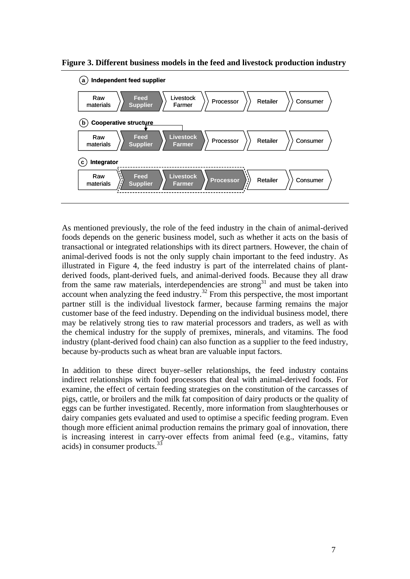**Figure 3. Different business models in the feed and livestock production industry** 



As mentioned previously, the role of the feed industry in the chain of animal-derived foods depends on the generic business model, such as whether it acts on the basis of transactional or integrated relationships with its direct partners. However, the chain of animal-derived foods is not the only supply chain important to the feed industry. As illustrated in Figure 4, the feed industry is part of the interrelated chains of plantderived foods, plant-derived fuels, and animal-derived foods. Because they all draw from the same raw materials, interdependencies are strong<sup>31</sup> and must be taken into account when analyzing the feed industry.<sup>32</sup> From this perspective, the most important partner still is the individual livestock farmer, because farming remains the major customer base of the feed industry. Depending on the individual business model, there may be relatively strong ties to raw material processors and traders, as well as with the chemical industry for the supply of premixes, minerals, and vitamins. The food industry (plant-derived food chain) can also function as a supplier to the feed industry, because by-products such as wheat bran are valuable input factors.

In addition to these direct buyer–seller relationships, the feed industry contains indirect relationships with food processors that deal with animal-derived foods. For examine, the effect of certain feeding strategies on the constitution of the carcasses of pigs, cattle, or broilers and the milk fat composition of dairy products or the quality of eggs can be further investigated. Recently, more information from slaughterhouses or dairy companies gets evaluated and used to optimise a specific feeding program. Even though more efficient animal production remains the primary goal of innovation, there is increasing interest in carry-over effects from animal feed (e.g., vitamins, fatty acids) in consumer products. 33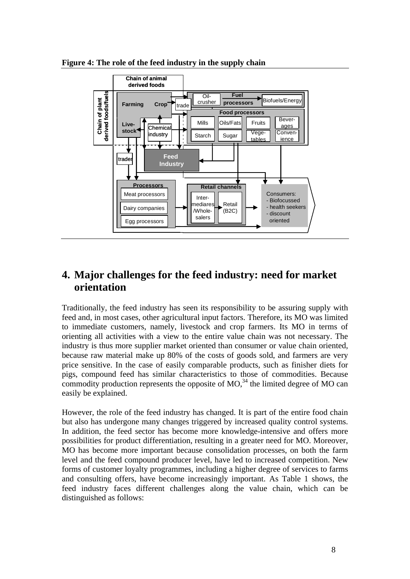**Figure 4: The role of the feed industry in the supply chain**



### **4. Major challenges for the feed industry: need for market orientation**

Traditionally, the feed industry has seen its responsibility to be assuring supply with feed and, in most cases, other agricultural input factors. Therefore, its MO was limited to immediate customers, namely, livestock and crop farmers. Its MO in terms of orienting all activities with a view to the entire value chain was not necessary. The industry is thus more supplier market oriented than consumer or value chain oriented, because raw material make up 80% of the costs of goods sold, and farmers are very price sensitive. In the case of easily comparable products, such as finisher diets for pigs, compound feed has similar characteristics to those of commodities. Because commodity production represents the opposite of  $MO$ <sup>34</sup>, the limited degree of  $MO$  can easily be explained.

However, the role of the feed industry has changed. It is part of the entire food chain but also has undergone many changes triggered by increased quality control systems. In addition, the feed sector has become more knowledge-intensive and offers more possibilities for product differentiation, resulting in a greater need for MO. Moreover, MO has become more important because consolidation processes, on both the farm level and the feed compound producer level, have led to increased competition. New forms of customer loyalty programmes, including a higher degree of services to farms and consulting offers, have become increasingly important. As Table 1 shows, the feed industry faces different challenges along the value chain, which can be distinguished as follows: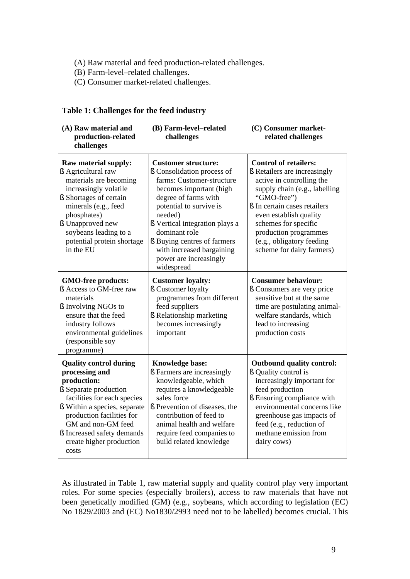- (A) Raw material and feed production-related challenges.
- (B) Farm-level–related challenges.
- (C) Consumer market-related challenges.

| (A) Raw material and<br>production-related<br>challenges                                                                                                                                                                                                                     | (B) Farm-level-related<br>challenges                                                                                                                                                                                                                                                                                                  | (C) Consumer market-<br>related challenges                                                                                                                                                                                                                                                                     |
|------------------------------------------------------------------------------------------------------------------------------------------------------------------------------------------------------------------------------------------------------------------------------|---------------------------------------------------------------------------------------------------------------------------------------------------------------------------------------------------------------------------------------------------------------------------------------------------------------------------------------|----------------------------------------------------------------------------------------------------------------------------------------------------------------------------------------------------------------------------------------------------------------------------------------------------------------|
| <b>Raw material supply:</b><br>§ Agricultural raw<br>materials are becoming<br>increasingly volatile<br>§ Shortages of certain<br>minerals (e.g., feed<br>phosphates)<br>§ Unapproved new<br>soybeans leading to a<br>potential protein shortage<br>in the EU                | <b>Customer structure:</b><br>§ Consolidation process of<br>farms: Customer-structure<br>becomes important (high<br>degree of farms with<br>potential to survive is<br>needed)<br>§ Vertical integration plays a<br>dominant role<br>§ Buying centres of farmers<br>with increased bargaining<br>power are increasingly<br>widespread | <b>Control of retailers:</b><br>§ Retailers are increasingly<br>active in controlling the<br>supply chain (e.g., labelling<br>"GMO-free")<br>§ In certain cases retailers<br>even establish quality<br>schemes for specific<br>production programmes<br>(e.g., obligatory feeding<br>scheme for dairy farmers) |
| GMO-free products:<br>§ Access to GM-free raw<br>materials<br>§ Involving NGOs to<br>ensure that the feed<br>industry follows<br>environmental guidelines<br>(responsible soy<br>programme)                                                                                  | <b>Customer loyalty:</b><br>§ Customer loyalty<br>programmes from different<br>feed suppliers<br>§ Relationship marketing<br>becomes increasingly<br>important                                                                                                                                                                        | <b>Consumer behaviour:</b><br>§ Consumers are very price<br>sensitive but at the same<br>time are postulating animal-<br>welfare standards, which<br>lead to increasing<br>production costs                                                                                                                    |
| <b>Quality control during</b><br>processing and<br>production:<br>§ Separate production<br>facilities for each species<br>§ Within a species, separate<br>production facilities for<br>GM and non-GM feed<br>§ Increased safety demands<br>create higher production<br>costs | <b>Knowledge base:</b><br>§ Farmers are increasingly<br>knowledgeable, which<br>requires a knowledgeable<br>sales force<br>§ Prevention of diseases, the<br>contribution of feed to<br>animal health and welfare<br>require feed companies to<br>build related knowledge                                                              | <b>Outbound quality control:</b><br>§ Quality control is<br>increasingly important for<br>feed production<br>§ Ensuring compliance with<br>environmental concerns like<br>greenhouse gas impacts of<br>feed (e.g., reduction of<br>methane emission from<br>dairy cows)                                        |

#### **Table 1: Challenges for the feed industry**

As illustrated in Table 1, raw material supply and quality control play very important roles. For some species (especially broilers), access to raw materials that have not been genetically modified (GM) (e.g., soybeans, which according to legislation (EC) No 1829/2003 and (EC) No1830/2993 need not to be labelled) becomes crucial. This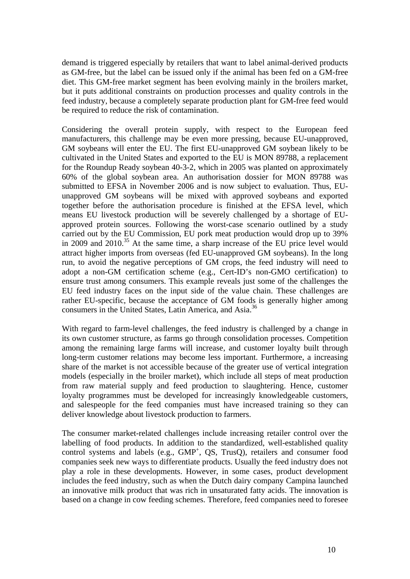demand is triggered especially by retailers that want to label animal-derived products as GM-free, but the label can be issued only if the animal has been fed on a GM-free diet. This GM-free market segment has been evolving mainly in the broilers market, but it puts additional constraints on production processes and quality controls in the feed industry, because a completely separate production plant for GM-free feed would be required to reduce the risk of contamination.

Considering the overall protein supply, with respect to the European feed manufacturers, this challenge may be even more pressing, because EU-unapproved, GM soybeans will enter the EU. The first EU-unapproved GM soybean likely to be cultivated in the United States and exported to the EU is MON 89788, a replacement for the Roundup Ready soybean 40-3-2, which in 2005 was planted on approximately 60% of the global soybean area. An authorisation dossier for MON 89788 was submitted to EFSA in November 2006 and is now subject to evaluation. Thus, EUunapproved GM soybeans will be mixed with approved soybeans and exported together before the authorisation procedure is finished at the EFSA level, which means EU livestock production will be severely challenged by a shortage of EUapproved protein sources. Following the worst-case scenario outlined by a study carried out by the EU Commission, EU pork meat production would drop up to 39% in 2009 and 2010. <sup>35</sup> At the same time, a sharp increase of the EU price level would attract higher imports from overseas (fed EU-unapproved GM soybeans). In the long run, to avoid the negative perceptions of GM crops, the feed industry will need to adopt a non-GM certification scheme (e.g., Cert-ID's non-GMO certification) to ensure trust among consumers. This example reveals just some of the challenges the EU feed industry faces on the input side of the value chain. These challenges are rather EU-specific, because the acceptance of GM foods is generally higher among consumers in the United States, Latin America, and Asia.<sup>36</sup>

With regard to farm-level challenges, the feed industry is challenged by a change in its own customer structure, as farms go through consolidation processes. Competition among the remaining large farms will increase, and customer loyalty built through long-term customer relations may become less important. Furthermore, a increasing share of the market is not accessible because of the greater use of vertical integration models (especially in the broiler market), which include all steps of meat production from raw material supply and feed production to slaughtering. Hence, customer loyalty programmes must be developed for increasingly knowledgeable customers, and salespeople for the feed companies must have increased training so they can deliver knowledge about livestock production to farmers.

The consumer market-related challenges include increasing retailer control over the labelling of food products. In addition to the standardized, well-established quality control systems and labels (e.g., GMP<sup>+</sup>, QS, TrusQ), retailers and consumer food companies seek new ways to differentiate products. Usually the feed industry does not play a role in these developments. However, in some cases, product development includes the feed industry, such as when the Dutch dairy company Campina launched an innovative milk product that was rich in unsaturated fatty acids. The innovation is based on a change in cow feeding schemes. Therefore, feed companies need to foresee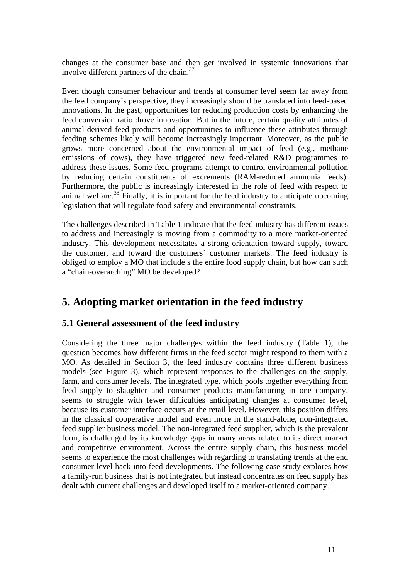changes at the consumer base and then get involved in systemic innovations that involve different partners of the chain. 37

Even though consumer behaviour and trends at consumer level seem far away from the feed company's perspective, they increasingly should be translated into feed-based innovations. In the past, opportunities for reducing production costs by enhancing the feed conversion ratio drove innovation. But in the future, certain quality attributes of animal-derived feed products and opportunities to influence these attributes through feeding schemes likely will become increasingly important. Moreover, as the public grows more concerned about the environmental impact of feed (e.g., methane emissions of cows), they have triggered new feed-related R&D programmes to address these issues. Some feed programs attempt to control environmental pollution by reducing certain constituents of excrements (RAM-reduced ammonia feeds). Furthermore, the public is increasingly interested in the role of feed with respect to animal welfare.<sup>38</sup> Finally, it is important for the feed industry to anticipate upcoming legislation that will regulate food safety and environmental constraints.

The challenges described in Table 1 indicate that the feed industry has different issues to address and increasingly is moving from a commodity to a more market-oriented industry. This development necessitates a strong orientation toward supply, toward the customer, and toward the customers´ customer markets. The feed industry is obliged to employ a MO that include s the entire food supply chain, but how can such a "chain-overarching" MO be developed?

### **5. Adopting market orientation in the feed industry**

### **5.1 General assessment of the feed industry**

Considering the three major challenges within the feed industry (Table 1), the question becomes how different firms in the feed sector might respond to them with a MO. As detailed in Section 3, the feed industry contains three different business models (see Figure 3), which represent responses to the challenges on the supply, farm, and consumer levels. The integrated type, which pools together everything from feed supply to slaughter and consumer products manufacturing in one company, seems to struggle with fewer difficulties anticipating changes at consumer level, because its customer interface occurs at the retail level. However, this position differs in the classical cooperative model and even more in the stand-alone, non-integrated feed supplier business model. The non-integrated feed supplier, which is the prevalent form, is challenged by its knowledge gaps in many areas related to its direct market and competitive environment. Across the entire supply chain, this business model seems to experience the most challenges with regarding to translating trends at the end consumer level back into feed developments. The following case study explores how a family-run business that is not integrated but instead concentrates on feed supply has dealt with current challenges and developed itself to a market-oriented company.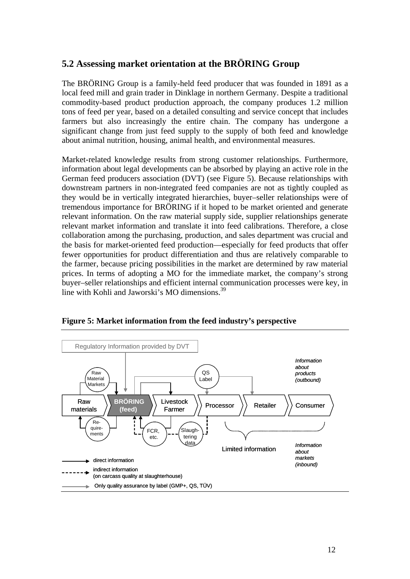### **5.2 Assessing market orientation at the BRÖRING Group**

The BRÖRING Group is a family-held feed producer that was founded in 1891 as a local feed mill and grain trader in Dinklage in northern Germany. Despite a traditional commodity-based product production approach, the company produces 1.2 million tons of feed per year, based on a detailed consulting and service concept that includes farmers but also increasingly the entire chain. The company has undergone a significant change from just feed supply to the supply of both feed and knowledge about animal nutrition, housing, animal health, and environmental measures.

Market-related knowledge results from strong customer relationships. Furthermore, information about legal developments can be absorbed by playing an active role in the German feed producers association (DVT) (see Figure 5). Because relationships with downstream partners in non-integrated feed companies are not as tightly coupled as they would be in vertically integrated hierarchies, buyer–seller relationships were of tremendous importance for BRÖRING if it hoped to be market oriented and generate relevant information. On the raw material supply side, supplier relationships generate relevant market information and translate it into feed calibrations. Therefore, a close collaboration among the purchasing, production, and sales department was crucial and the basis for market-oriented feed production—especially for feed products that offer fewer opportunities for product differentiation and thus are relatively comparable to the farmer, because pricing possibilities in the market are determined by raw material prices. In terms of adopting a MO for the immediate market, the company's strong buyer–seller relationships and efficient internal communication processes were key, in line with Kohli and Jaworski's MO dimensions.<sup>39</sup>



**Figure 5: Market information from the feed industry's perspective**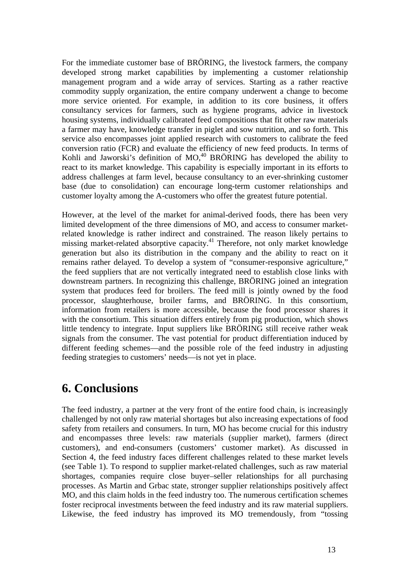For the immediate customer base of BRÖRING, the livestock farmers, the company developed strong market capabilities by implementing a customer relationship management program and a wide array of services. Starting as a rather reactive commodity supply organization, the entire company underwent a change to become more service oriented. For example, in addition to its core business, it offers consultancy services for farmers, such as hygiene programs, advice in livestock housing systems, individually calibrated feed compositions that fit other raw materials a farmer may have, knowledge transfer in piglet and sow nutrition, and so forth. This service also encompasses joint applied research with customers to calibrate the feed conversion ratio (FCR) and evaluate the efficiency of new feed products. In terms of Kohli and Jaworski's definition of MO,<sup>40</sup> BRÖRING has developed the ability to react to its market knowledge. This capability is especially important in its efforts to address challenges at farm level, because consultancy to an ever-shrinking customer base (due to consolidation) can encourage long-term customer relationships and customer loyalty among the A-customers who offer the greatest future potential.

However, at the level of the market for animal-derived foods, there has been very limited development of the three dimensions of MO, and access to consumer marketrelated knowledge is rather indirect and constrained. The reason likely pertains to missing market-related absorptive capacity. <sup>41</sup> Therefore, not only market knowledge generation but also its distribution in the company and the ability to react on it remains rather delayed. To develop a system of "consumer-responsive agriculture," the feed suppliers that are not vertically integrated need to establish close links with downstream partners. In recognizing this challenge, BRÖRING joined an integration system that produces feed for broilers. The feed mill is jointly owned by the food processor, slaughterhouse, broiler farms, and BRÖRING. In this consortium, information from retailers is more accessible, because the food processor shares it with the consortium. This situation differs entirely from pig production, which shows little tendency to integrate. Input suppliers like BRÖRING still receive rather weak signals from the consumer. The vast potential for product differentiation induced by different feeding schemes—and the possible role of the feed industry in adjusting feeding strategies to customers' needs—is not yet in place.

## **6. Conclusions**

The feed industry, a partner at the very front of the entire food chain, is increasingly challenged by not only raw material shortages but also increasing expectations of food safety from retailers and consumers. In turn, MO has become crucial for this industry and encompasses three levels: raw materials (supplier market), farmers (direct customers), and end-consumers (customers' customer market). As discussed in Section 4, the feed industry faces different challenges related to these market levels (see Table 1). To respond to supplier market-related challenges, such as raw material shortages, companies require close buyer–seller relationships for all purchasing processes. As Martin and Grbac state, stronger supplier relationships positively affect MO, and this claim holds in the feed industry too. The numerous certification schemes foster reciprocal investments between the feed industry and its raw material suppliers. Likewise, the feed industry has improved its MO tremendously, from "tossing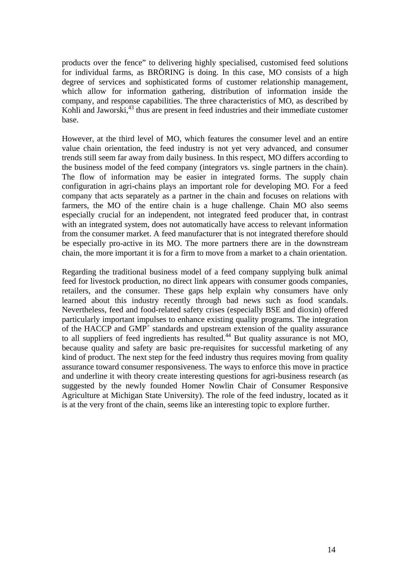products over the fence" to delivering highly specialised, customised feed solutions for individual farms, as BRÖRING is doing. In this case, MO consists of a high degree of services and sophisticated forms of customer relationship management, which allow for information gathering, distribution of information inside the company, and response capabilities. The three characteristics of MO, as described by Kohli and Jaworski,<sup>43</sup> thus are present in feed industries and their immediate customer base.

However, at the third level of MO, which features the consumer level and an entire value chain orientation, the feed industry is not yet very advanced, and consumer trends still seem far away from daily business. In this respect, MO differs according to the business model of the feed company (integrators vs. single partners in the chain). The flow of information may be easier in integrated forms. The supply chain configuration in agri-chains plays an important role for developing MO. For a feed company that acts separately as a partner in the chain and focuses on relations with farmers, the MO of the entire chain is a huge challenge. Chain MO also seems especially crucial for an independent, not integrated feed producer that, in contrast with an integrated system, does not automatically have access to relevant information from the consumer market. A feed manufacturer that is not integrated therefore should be especially pro-active in its MO. The more partners there are in the downstream chain, the more important it is for a firm to move from a market to a chain orientation.

Regarding the traditional business model of a feed company supplying bulk animal feed for livestock production, no direct link appears with consumer goods companies, retailers, and the consumer. These gaps help explain why consumers have only learned about this industry recently through bad news such as food scandals. Nevertheless, feed and food-related safety crises (especially BSE and dioxin) offered particularly important impulses to enhance existing quality programs. The integration of the HACCP and  $GMP<sup>+</sup>$  standards and upstream extension of the quality assurance to all suppliers of feed ingredients has resulted.<sup>44</sup> But quality assurance is not MO, because quality and safety are basic pre-requisites for successful marketing of any kind of product. The next step for the feed industry thus requires moving from quality assurance toward consumer responsiveness. The ways to enforce this move in practice and underline it with theory create interesting questions for agri-business research (as suggested by the newly founded Homer Nowlin Chair of Consumer Responsive Agriculture at Michigan State University). The role of the feed industry, located as it is at the very front of the chain, seems like an interesting topic to explore further.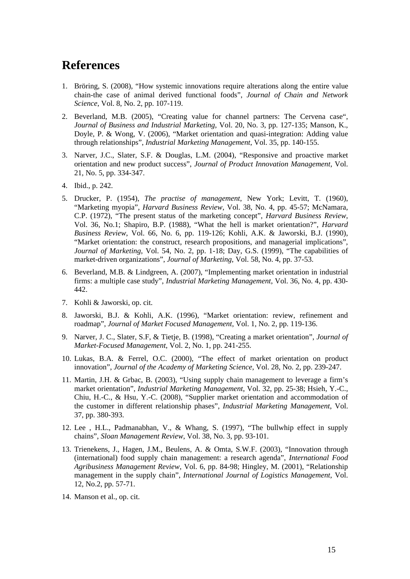## **References**

- 1. Bröring, S. (2008), "How systemic innovations require alterations along the entire value chain-the case of animal derived functional foods", *Journal of Chain and Network Science*, Vol. 8, No. 2, pp. 107-119.
- 2. Beverland, M.B. (2005), "Creating value for channel partners: The Cervena case", *Journal of Business and Industrial Marketing*, Vol. 20, No. 3, pp. 127-135; Manson, K., Doyle, P. & Wong, V. (2006), "Market orientation and quasi-integration: Adding value through relationships", *Industrial Marketing Management*, Vol. 35, pp. 140-155.
- 3. Narver, J.C., Slater, S.F. & Douglas, L.M. (2004), "Responsive and proactive market orientation and new product success", *Journal of Product Innovation Management*, Vol. 21, No. 5, pp. 334-347.
- 4. Ibid., p. 242.
- 5. Drucker, P. (1954), *The practise of management*, New York; Levitt, T. (1960), "Marketing myopia", *Harvard Business Review*, Vol. 38, No. 4, pp. 45-57; McNamara, C.P. (1972), "The present status of the marketing concept", *Harvard Business Review*, Vol. 36, No.1; Shapiro, B.P. (1988), "What the hell is market orientation?", *Harvard Business Review*, Vol. 66, No. 6, pp. 119-126; Kohli, A.K. & Jaworski, B.J. (1990), "Market orientation: the construct, research propositions, and managerial implications", *Journal of Marketing*, Vol. 54, No. 2, pp. 1-18; Day, G.S. (1999), "The capabilities of market-driven organizations", *Journal of Marketing*, Vol. 58, No. 4, pp. 37-53.
- 6. Beverland, M.B. & Lindgreen, A. (2007), "Implementing market orientation in industrial firms: a multiple case study", *Industrial Marketing Management*, Vol. 36, No. 4, pp. 430- 442.
- 7. Kohli & Jaworski, op. cit.
- 8. Jaworski, B.J. & Kohli, A.K. (1996), "Market orientation: review, refinement and roadmap", *Journal of Market Focused Management*, Vol. 1, No. 2, pp. 119-136.
- 9. Narver, J. C., Slater, S.F, & Tietje, B. (1998), "Creating a market orientation", *Journal of Market-Focused Management*, Vol. 2, No. 1, pp. 241-255.
- 10. Lukas, B.A. & Ferrel, O.C. (2000), "The effect of market orientation on product innovation", *Journal of the Academy of Marketing Science*, Vol. 28, No. 2, pp. 239-247.
- 11. Martin, J.H. & Grbac, B. (2003), "Using supply chain management to leverage a firm's market orientation", *Industrial Marketing Management*, Vol. 32, pp. 25-38; Hsieh, Y.-C., Chiu, H.-C., & Hsu, Y.-C. (2008), "Supplier market orientation and accommodation of the customer in different relationship phases", *Industrial Marketing Management*, Vol. 37, pp. 380-393.
- 12. Lee , H.L., Padmanabhan, V., & Whang, S. (1997), "The bullwhip effect in supply chains", *Sloan Management Review*, Vol. 38, No. 3, pp. 93-101.
- 13. Trienekens, J., Hagen, J.M., Beulens, A. & Omta, S.W.F. (2003), "Innovation through (international) food supply chain management: a research agenda", *International Food Agribusiness Management Review*, Vol. 6, pp. 84-98; Hingley, M. (2001), "Relationship management in the supply chain", *International Journal of Logistics Management*, Vol. 12, No.2, pp. 57-71.
- 14. Manson et al., op. cit.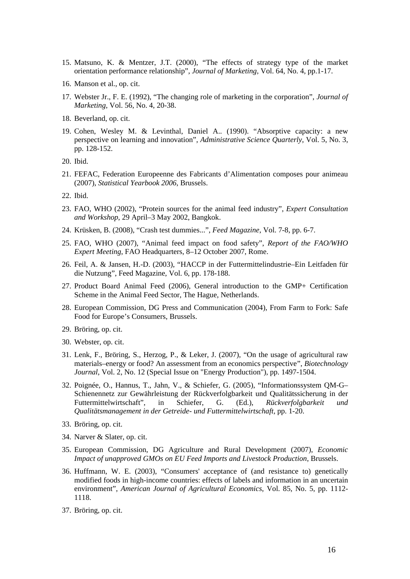- 15. Matsuno, K. & Mentzer, J.T. (2000), "The effects of strategy type of the market orientation performance relationship", *Journal of Marketing*, Vol. 64, No. 4, pp.1-17.
- 16. Manson et al., op. cit.
- 17. Webster Jr., F. E. (1992), "The changing role of marketing in the corporation", *Journal of Marketing*, Vol. 56, No. 4, 20-38.
- 18. Beverland, op. cit.
- 19. Cohen, Wesley M. & Levinthal, Daniel A.. (1990). "Absorptive capacity: a new perspective on learning and innovation", *Administrative Science Quarterly*, Vol. 5, No. 3, pp. 128-152.
- 20. Ibid.
- 21. FEFAC, Federation Europeenne des Fabricants d'Alimentation composes pour animeau (2007), *Statistical Yearbook 2006*, Brussels.
- 22. Ibid.
- 23. FAO, WHO (2002), "Protein sources for the animal feed industry", *Expert Consultation and Workshop*, 29 April–3 May 2002, Bangkok.
- 24. Krüsken, B. (2008), "Crash test dummies...", *Feed Magazine*, Vol. 7-8, pp. 6-7.
- 25. FAO, WHO (2007), "Animal feed impact on food safety", *Report of the FAO/WHO Expert Meeting*, FAO Headquarters, 8–12 October 2007, Rome.
- 26. Feil, A. & Jansen, H.-D. (2003), "HACCP in der Futtermittelindustrie–Ein Leitfaden für die Nutzung", Feed Magazine, Vol. 6, pp. 178-188.
- 27. Product Board Animal Feed (2006), General introduction to the GMP+ Certification Scheme in the Animal Feed Sector, The Hague, Netherlands.
- 28. European Commission, DG Press and Communication (2004), From Farm to Fork: Safe Food for Europe's Consumers, Brussels.
- 29. Bröring, op. cit.
- 30. Webster, op. cit.
- 31. Lenk, F., Bröring, S., Herzog, P., & Leker, J. (2007), "On the usage of agricultural raw materials–energy or food? An assessment from an economics perspective", *Biotechnology Journal*, Vol. 2, No. 12 (Special Issue on "Energy Production"), pp. 1497-1504.
- 32. Poignée, O., Hannus, T., Jahn, V., & Schiefer, G. (2005), "Informationssystem QM-G– Schienennetz zur Gewährleistung der Rückverfolgbarkeit und Qualitätssicherung in der Futtermittelwirtschaft", in Schiefer, G. (Ed.), *Rückverfolgbarkeit und Qualitätsmanagement in der Getreide- und Futtermittelwirtschaft*, pp. 1-20.
- 33. Bröring, op. cit.
- 34. Narver & Slater, op. cit.
- 35. European Commission, DG Agriculture and Rural Development (2007), *Economic Impact of unapproved GMOs on EU Feed Imports and Livestock Production*, Brussels.
- 36. Huffmann, W. E. (2003), "Consumers' acceptance of (and resistance to) genetically modified foods in high-income countries: effects of labels and information in an uncertain environment", *American Journal of Agricultural Economics*, Vol. 85, No. 5, pp. 1112- 1118.
- 37. Bröring, op. cit.